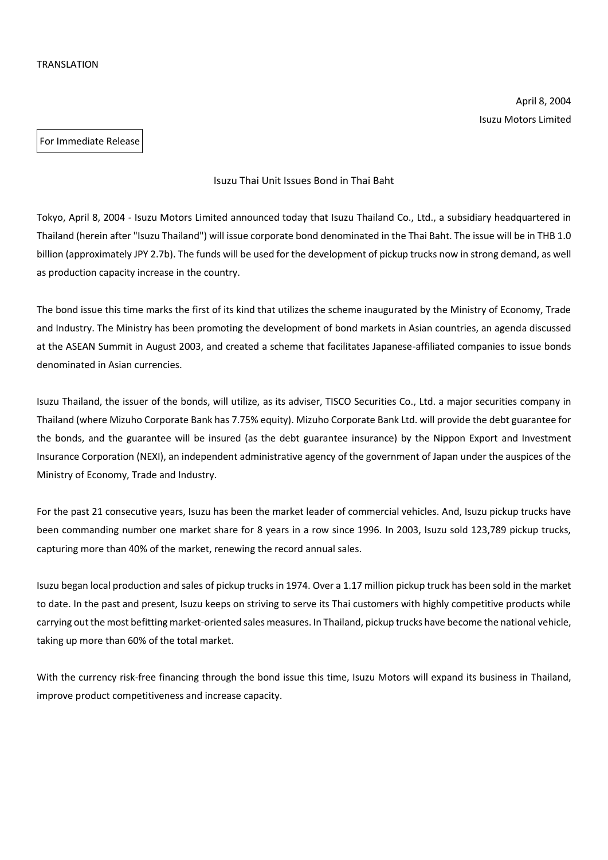April 8, 2004 Isuzu Motors Limited

For Immediate Release

## Isuzu Thai Unit Issues Bond in Thai Baht

Tokyo, April 8, 2004 - Isuzu Motors Limited announced today that Isuzu Thailand Co., Ltd., a subsidiary headquartered in Thailand (herein after "Isuzu Thailand") will issue corporate bond denominated in the Thai Baht. The issue will be in THB 1.0 billion (approximately JPY 2.7b). The funds will be used for the development of pickup trucks now in strong demand, as well as production capacity increase in the country.

The bond issue this time marks the first of its kind that utilizes the scheme inaugurated by the Ministry of Economy, Trade and Industry. The Ministry has been promoting the development of bond markets in Asian countries, an agenda discussed at the ASEAN Summit in August 2003, and created a scheme that facilitates Japanese-affiliated companies to issue bonds denominated in Asian currencies.

Isuzu Thailand, the issuer of the bonds, will utilize, as its adviser, TISCO Securities Co., Ltd. a major securities company in Thailand (where Mizuho Corporate Bank has 7.75% equity). Mizuho Corporate Bank Ltd. will provide the debt guarantee for the bonds, and the guarantee will be insured (as the debt guarantee insurance) by the Nippon Export and Investment Insurance Corporation (NEXI), an independent administrative agency of the government of Japan under the auspices of the Ministry of Economy, Trade and Industry.

For the past 21 consecutive years, Isuzu has been the market leader of commercial vehicles. And, Isuzu pickup trucks have been commanding number one market share for 8 years in a row since 1996. In 2003, Isuzu sold 123,789 pickup trucks, capturing more than 40% of the market, renewing the record annual sales.

Isuzu began local production and sales of pickup trucks in 1974. Over a 1.17 million pickup truck has been sold in the market to date. In the past and present, Isuzu keeps on striving to serve its Thai customers with highly competitive products while carrying out the most befitting market-oriented sales measures. In Thailand, pickup trucks have become the national vehicle, taking up more than 60% of the total market.

With the currency risk-free financing through the bond issue this time, Isuzu Motors will expand its business in Thailand, improve product competitiveness and increase capacity.